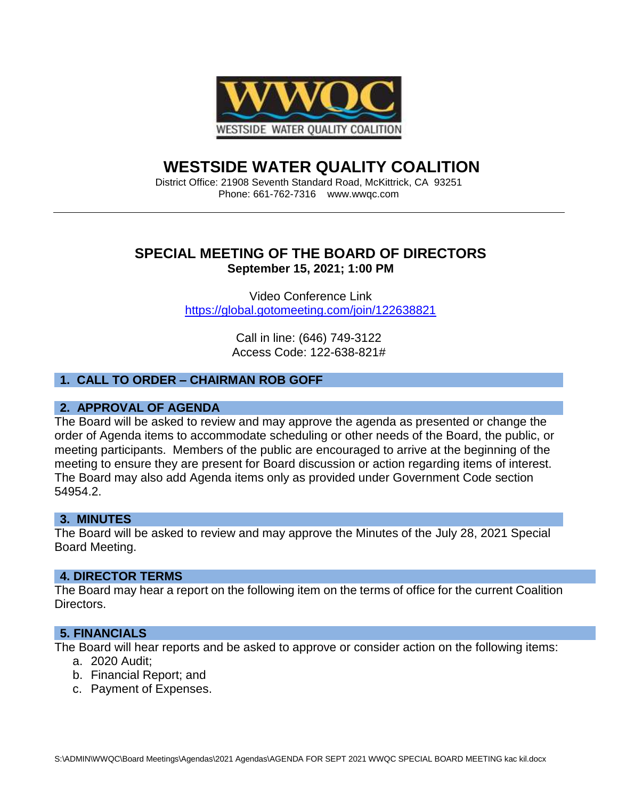

# **WESTSIDE WATER QUALITY COALITION**

District Office: 21908 Seventh Standard Road, McKittrick, CA 93251 Phone: 661-762-7316 www.wwqc.com

# **SPECIAL MEETING OF THE BOARD OF DIRECTORS September 15, 2021; 1:00 PM**

Video Conference Link <https://global.gotomeeting.com/join/122638821>

> Call in line: (646) 749-3122 Access Code: 122-638-821#

## **1. CALL TO ORDER – CHAIRMAN ROB GOFF**

#### **2. APPROVAL OF AGENDA**

The Board will be asked to review and may approve the agenda as presented or change the order of Agenda items to accommodate scheduling or other needs of the Board, the public, or meeting participants. Members of the public are encouraged to arrive at the beginning of the meeting to ensure they are present for Board discussion or action regarding items of interest. The Board may also add Agenda items only as provided under Government Code section 54954.2.

#### **3. MINUTES**

The Board will be asked to review and may approve the Minutes of the July 28, 2021 Special Board Meeting.

#### **4. DIRECTOR TERMS**

The Board may hear a report on the following item on the terms of office for the current Coalition Directors.

#### **5. FINANCIALS**

The Board will hear reports and be asked to approve or consider action on the following items: a. 2020 Audit;

- b. Financial Report; and
- c. Payment of Expenses.